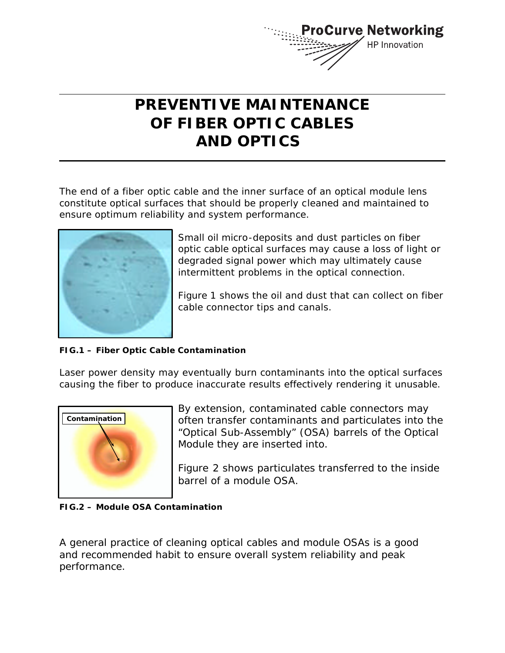

# **PREVENTIVE MAINTENANCE OF FIBER OPTIC CABLES AND OPTICS**

The end of a fiber optic cable and the inner surface of an optical module lens constitute optical surfaces that should be properly cleaned and maintained to ensure optimum reliability and system performance.



Small oil micro-deposits and dust particles on fiber optic cable optical surfaces may cause a loss of light or degraded signal power which may ultimately cause intermittent problems in the optical connection.

*Figure 1* shows the oil and dust that can collect on fiber cable connector tips and canals.

## **FIG.1 – Fiber Optic Cable Contamination**

Laser power density may eventually burn contaminants into the optical surfaces causing the fiber to produce inaccurate results effectively rendering it unusable.



By extension, contaminated cable connectors may often transfer contaminants and particulates into the "Optical Sub-Assembly" (OSA) barrels of the Optical Module they are inserted into.

*Figure 2* shows particulates transferred to the inside barrel of a module OSA.

## **FIG.2 – Module OSA Contamination**

A general practice of cleaning optical cables and module OSAs is a good and recommended habit to ensure overall system reliability and peak performance.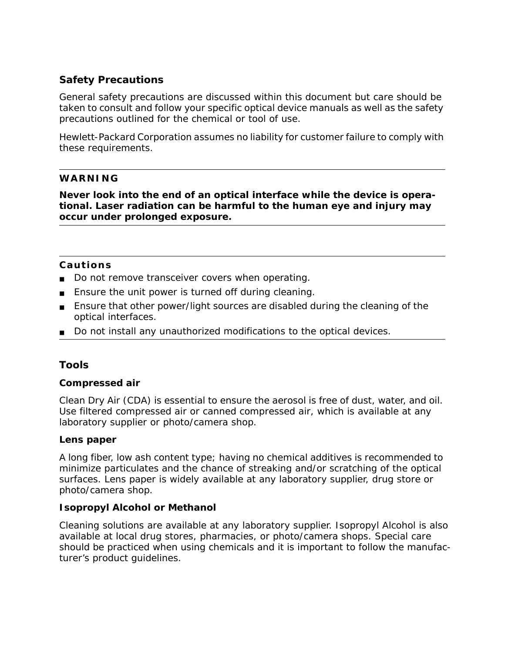# **Safety Precautions**

General safety precautions are discussed within this document but care should be taken to consult and follow your specific optical device manuals as well as the safety precautions outlined for the chemical or tool of use.

Hewlett-Packard Corporation assumes no liability for customer failure to comply with these requirements.

#### **WARNING**

**Never look into the end of an optical interface while the device is operational. Laser radiation can be harmful to the human eye and injury may occur under prolonged exposure.** 

#### **Cautions**

- Do not remove transceiver covers when operating.
- Ensure the unit power is turned off during cleaning.
- Ensure that other power/light sources are disabled during the cleaning of the optical interfaces.
- Do not install any unauthorized modifications to the optical devices.

## **Tools**

#### **Compressed air**

Clean Dry Air (CDA) is essential to ensure the aerosol is free of dust, water, and oil. Use filtered compressed air or canned compressed air, which is available at any laboratory supplier or photo/camera shop.

#### **Lens paper**

A long fiber, low ash content type; having no chemical additives is recommended to minimize particulates and the chance of streaking and/or scratching of the optical surfaces. Lens paper is widely available at any laboratory supplier, drug store or photo/camera shop.

#### **Isopropyl Alcohol or Methanol**

Cleaning solutions are available at any laboratory supplier. Isopropyl Alcohol is also available at local drug stores, pharmacies, or photo/camera shops. Special care should be practiced when using chemicals and it is important to follow the manufacturer's product guidelines.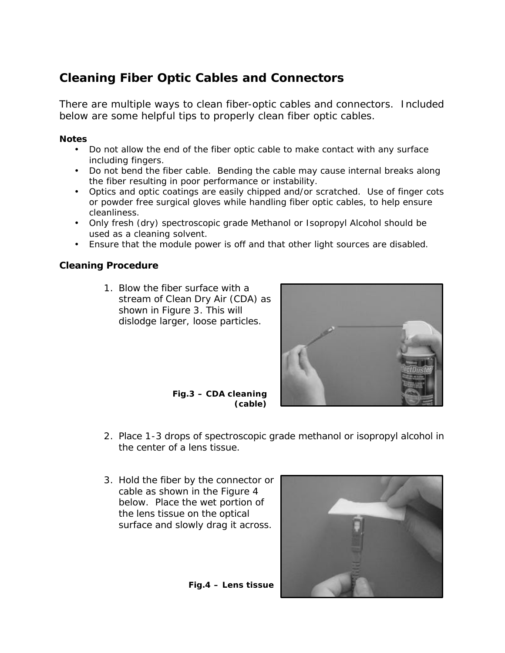# **Cleaning Fiber Optic Cables and Connectors**

There are multiple ways to clean fiber-optic cables and connectors. Included below are some helpful tips to properly clean fiber optic cables.

#### **Notes**

- Do not allow the end of the fiber optic cable to make contact with any surface including fingers.
- Do not bend the fiber cable. Bending the cable may cause internal breaks along the fiber resulting in poor performance or instability.
- Optics and optic coatings are easily chipped and/or scratched. Use of finger cots or powder free surgical gloves while handling fiber optic cables, to help ensure cleanliness.
- Only fresh (dry) spectroscopic grade Methanol or Isopropyl Alcohol should be used as a cleaning solvent.
- Ensure that the module power is off and that other light sources are disabled.

# **Cleaning Procedure**

1. Blow the fiber surface with a stream of Clean Dry Air (CDA) as shown in *Figure 3*. This will dislodge larger, loose particles.



**Fig.3 – CDA cleaning (cable)**

- 2. Place 1-3 drops of spectroscopic grade methanol or isopropyl alcohol in the center of a lens tissue.
- 3. Hold the fiber by the connector or cable as shown in the Figure 4 below. Place the wet portion of the lens tissue on the optical surface and slowly drag it across.



**Fig.4 – Lens tissue**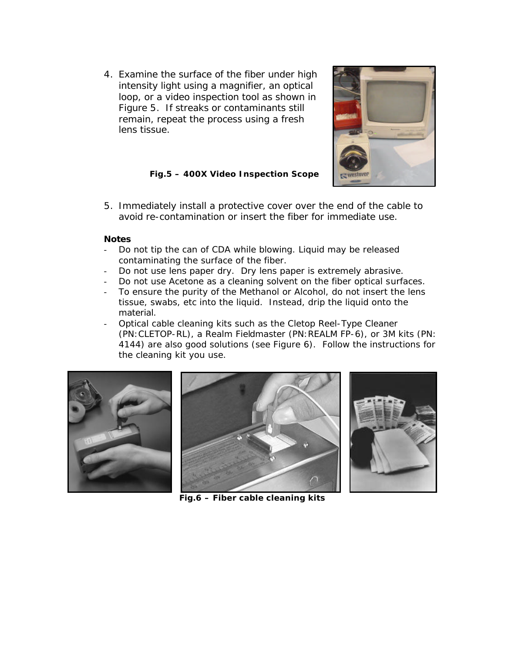4. Examine the surface of the fiber under high intensity light using a magnifier, an optical loop, or a video inspection tool as shown in *Figure 5*. If streaks or contaminants still remain, repeat the process using a fresh lens tissue.



**Fig.5 – 400X Video Inspection Scope**

5. Immediately install a protective cover over the end of the cable to avoid re-contamination or insert the fiber for immediate use.

#### **Notes**

- Do not tip the can of CDA while blowing. Liquid may be released contaminating the surface of the fiber.
- Do not use lens paper dry. Dry lens paper is extremely abrasive.
- Do not use Acetone as a cleaning solvent on the fiber optical surfaces.
- To ensure the purity of the Methanol or Alcohol, do not insert the lens tissue, swabs, etc into the liquid. Instead, drip the liquid onto the material.
- Optical cable cleaning kits such as the Cletop Reel-Type Cleaner (PN:CLETOP-RL), a Realm Fieldmaster (PN:REALM FP-6), or 3M kits (PN: 4144) are also good solutions (see *Figure 6*). Follow the instructions for the cleaning kit you use.







**Fig.6 – Fiber cable cleaning kits**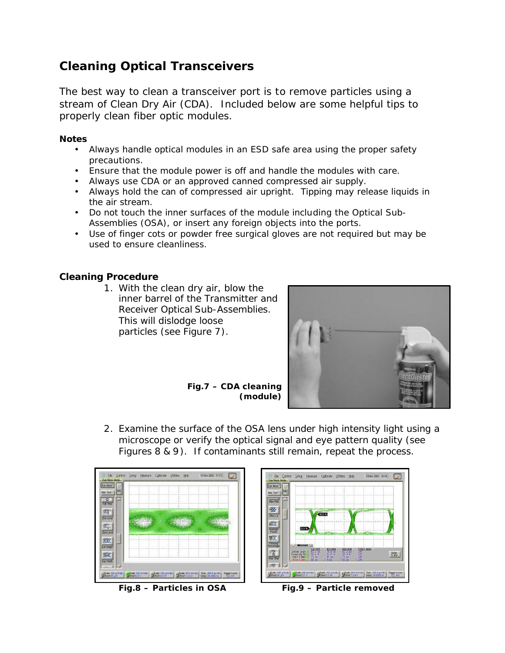# **Cleaning Optical Transceivers**

The best way to clean a transceiver port is to remove particles using a stream of Clean Dry Air (CDA). Included below are some helpful tips to properly clean fiber optic modules.

#### **Notes**

- Always handle optical modules in an ESD safe area using the proper safety precautions.
- Ensure that the module power is off and handle the modules with care.
- Always use CDA or an approved canned compressed air supply.
- Always hold the can of compressed air upright. Tipping may release liquids in the air stream.
- Do not touch the inner surfaces of the module including the Optical Sub-Assemblies (OSA), or insert any foreign objects into the ports.
- Use of finger cots or powder free surgical gloves are not required but may be used to ensure cleanliness.

# **Cleaning Procedure**

1. With the clean dry air, blow the inner barrel of the Transmitter and Receiver Optical Sub-Assemblies. This will dislodge loose particles (see *Figure 7*).



**Fig.7 – CDA cleaning (module)**

2. Examine the surface of the OSA lens under high intensity light using a microscope or verify the optical signal and eye pattern quality (see *Figures 8 & 9*). If contaminants still remain, repeat the process.





**Fig.8 – Particles in OSA Fig.9 – Particle removed**